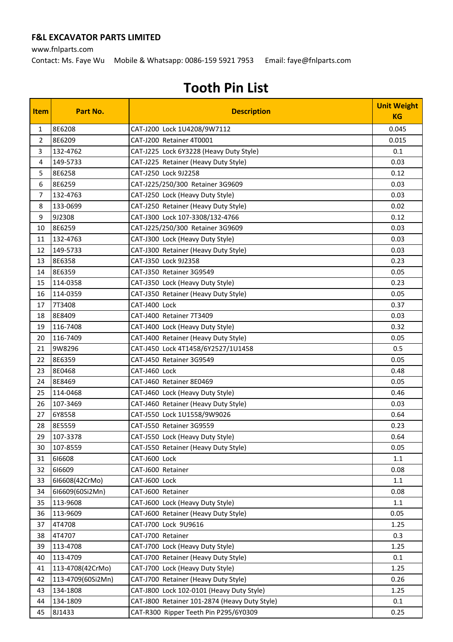www.fnlparts.com

Contact: Ms. Faye Wu Mobile & Whatsapp: 0086-159 5921 7953 Email: faye@fnlparts.com

| <b>Item</b>    | Part No.          | <b>Description</b>                            | <b>Unit Weight</b><br><b>KG</b> |
|----------------|-------------------|-----------------------------------------------|---------------------------------|
| $\mathbf{1}$   | 8E6208            | CAT-J200 Lock 1U4208/9W7112                   | 0.045                           |
| $\overline{2}$ | 8E6209            | CAT-J200 Retainer 4T0001                      | 0.015                           |
| 3              | 132-4762          | CAT-J225 Lock 6Y3228 (Heavy Duty Style)       | 0.1                             |
| 4              | 149-5733          | CAT-J225 Retainer (Heavy Duty Style)          | 0.03                            |
| 5              | 8E6258            | CAT-J250 Lock 9J2258                          | 0.12                            |
| 6              | 8E6259            | CAT-J225/250/300 Retainer 3G9609              | 0.03                            |
| $\overline{7}$ | 132-4763          | CAT-J250 Lock (Heavy Duty Style)              | 0.03                            |
| 8              | 133-0699          | CAT-J250 Retainer (Heavy Duty Style)          | 0.02                            |
| 9              | 9J2308            | CAT-J300 Lock 107-3308/132-4766               | 0.12                            |
| 10             | 8E6259            | CAT-J225/250/300 Retainer 3G9609              | 0.03                            |
| 11             | 132-4763          | CAT-J300 Lock (Heavy Duty Style)              | 0.03                            |
| 12             | 149-5733          | CAT-J300 Retainer (Heavy Duty Style)          | 0.03                            |
| 13             | 8E6358            | CAT-J350 Lock 9J2358                          | 0.23                            |
| 14             | 8E6359            | CAT-J350 Retainer 3G9549                      | 0.05                            |
| 15             | 114-0358          | CAT-J350 Lock (Heavy Duty Style)              | 0.23                            |
| 16             | 114-0359          | CAT-J350 Retainer (Heavy Duty Style)          | 0.05                            |
| 17             | 7T3408            | CAT-J400 Lock                                 | 0.37                            |
| 18             | 8E8409            | CAT-J400 Retainer 7T3409                      | 0.03                            |
| 19             | 116-7408          | CAT-J400 Lock (Heavy Duty Style)              | 0.32                            |
| 20             | 116-7409          | CAT-J400 Retainer (Heavy Duty Style)          | 0.05                            |
| 21             | 9W8296            | CAT-J450 Lock 4T1458/6Y2527/1U1458            | 0.5                             |
| 22             | 8E6359            | CAT-J450 Retainer 3G9549                      | 0.05                            |
| 23             | 8E0468            | CAT-J460 Lock                                 | 0.48                            |
| 24             | 8E8469            | CAT-J460 Retainer 8E0469                      | 0.05                            |
| 25             | 114-0468          | CAT-J460 Lock (Heavy Duty Style)              | 0.46                            |
| 26             | 107-3469          | CAT-J460 Retainer (Heavy Duty Style)          | 0.03                            |
| 27             | 6Y8558            | CAT-J550 Lock 1U1558/9W9026                   | 0.64                            |
| 28             | 8E5559            | CAT-J550 Retainer 3G9559                      | 0.23                            |
| 29             | 107-3378          | CAT-J550 Lock (Heavy Duty Style)              | 0.64                            |
| 30             | 107-8559          | CAT-J550 Retainer (Heavy Duty Style)          | 0.05                            |
| 31             | 616608            | CAT-J600 Lock                                 | 1.1                             |
| 32             | 616609            | CAT-J600 Retainer                             | 0.08                            |
| 33             | 616608(42CrMo)    | CAT-J600 Lock                                 | 1.1                             |
| 34             | 616609(60Si2Mn)   | CAT-J600 Retainer                             | 0.08                            |
| 35             | 113-9608          | CAT-J600 Lock (Heavy Duty Style)              | 1.1                             |
| 36             | 113-9609          | CAT-J600 Retainer (Heavy Duty Style)          | 0.05                            |
| 37             | 4T4708            | CAT-J700 Lock 9U9616                          | 1.25                            |
| 38             | 4T4707            | CAT-J700 Retainer                             | 0.3                             |
| 39             | 113-4708          | CAT-J700 Lock (Heavy Duty Style)              | 1.25                            |
| 40             | 113-4709          | CAT-J700 Retainer (Heavy Duty Style)          | 0.1                             |
| 41             | 113-4708(42CrMo)  | CAT-J700 Lock (Heavy Duty Style)              | 1.25                            |
| 42             | 113-4709(60Si2Mn) | CAT-J700 Retainer (Heavy Duty Style)          | 0.26                            |
| 43             | 134-1808          | CAT-J800 Lock 102-0101 (Heavy Duty Style)     | 1.25                            |
| 44             | 134-1809          | CAT-J800 Retainer 101-2874 (Heavy Duty Style) | 0.1                             |
| 45             | 8J1433            | CAT-R300 Ripper Teeth Pin P295/6Y0309         | 0.25                            |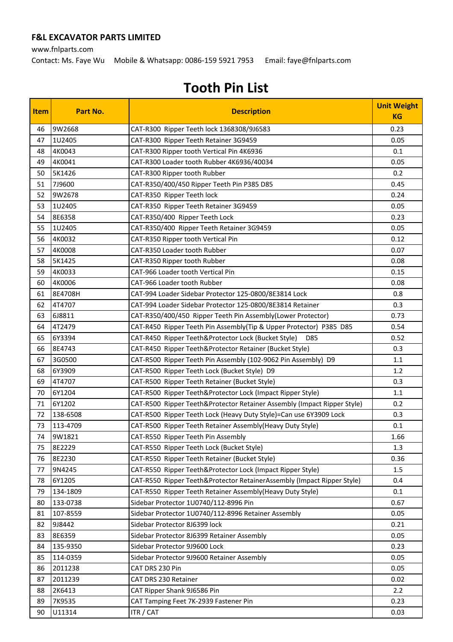www.fnlparts.com

Contact: Ms. Faye Wu Mobile & Whatsapp: 0086-159 5921 7953 Email: faye@fnlparts.com

| <b>Item</b> | Part No.             | <b>Description</b>                                                                                  | <b>Unit Weight</b><br><b>KG</b> |
|-------------|----------------------|-----------------------------------------------------------------------------------------------------|---------------------------------|
| 46          | 9W2668               | CAT-R300 Ripper Teeth lock 1368308/9J6583                                                           | 0.23                            |
| 47          | 1U2405               | CAT-R300 Ripper Teeth Retainer 3G9459                                                               | 0.05                            |
| 48          | 4K0043               | CAT-R300 Ripper tooth Vertical Pin 4K6936                                                           | 0.1                             |
| 49          | 4K0041               | CAT-R300 Loader tooth Rubber 4K6936/40034                                                           | 0.05                            |
| 50          | 5K1426               | CAT-R300 Ripper tooth Rubber                                                                        | 0.2                             |
| 51          | 7J9600               | CAT-R350/400/450 Ripper Teeth Pin P385 D85                                                          | 0.45                            |
| 52          | 9W2678               | CAT-R350 Ripper Teeth lock                                                                          | 0.24                            |
| 53          | 1U2405               | CAT-R350 Ripper Teeth Retainer 3G9459                                                               | 0.05                            |
| 54          | 8E6358               | CAT-R350/400 Ripper Teeth Lock                                                                      | 0.23                            |
| 55          | 1U2405               | CAT-R350/400 Ripper Teeth Retainer 3G9459                                                           | 0.05                            |
| 56          | 4K0032               | CAT-R350 Ripper tooth Vertical Pin                                                                  | 0.12                            |
| 57          | 4K0008               | CAT-R350 Loader tooth Rubber                                                                        | 0.07                            |
| 58          | 5K1425               | CAT-R350 Ripper tooth Rubber                                                                        | 0.08                            |
| 59          | 4K0033               | CAT-966 Loader tooth Vertical Pin                                                                   | 0.15                            |
| 60          | 4K0006               | CAT-966 Loader tooth Rubber                                                                         | 0.08                            |
| 61          | 8E4708H              | CAT-994 Loader Sidebar Protector 125-0800/8E3814 Lock                                               | 0.8                             |
| 62          | 4T4707               | CAT-994 Loader Sidebar Protector 125-0800/8E3814 Retainer                                           | 0.3                             |
| 63          | 6J8811               | CAT-R350/400/450 Ripper Teeth Pin Assembly(Lower Protector)                                         | 0.73                            |
| 64          | 4T2479               | CAT-R450 Ripper Teeth Pin Assembly(Tip & Upper Protector) P385 D85                                  | 0.54                            |
| 65          | 6Y3394               | CAT-R450 Ripper Teeth&Protector Lock (Bucket Style)<br>D85                                          | 0.52                            |
| 66          | 8E4743               | CAT-R450 Ripper Teeth&Protector Retainer (Bucket Style)                                             | 0.3                             |
| 67          | 3G0500               | CAT-R500 Ripper Teeth Pin Assembly (102-9062 Pin Assembly) D9                                       | 1.1                             |
| 68          | 6Y3909               | CAT-R500 Ripper Teeth Lock (Bucket Style) D9                                                        | 1.2                             |
| 69          | 4T4707               | CAT-R500 Ripper Teeth Retainer (Bucket Style)                                                       | 0.3                             |
| 70          | 6Y1204               | CAT-R500 Ripper Teeth&Protector Lock (Impact Ripper Style)                                          | 1.1                             |
| 71          | 6Y1202               | CAT-R500 Ripper Teeth&Protector Retainer Assembly (Impact Ripper Style)                             | 0.2                             |
| 72          | 138-6508             | CAT-R500 Ripper Teeth Lock (Heavy Duty Style)=Can use 6Y3909 Lock                                   | 0.3                             |
| 73          | 113-4709             | CAT-R500 Ripper Teeth Retainer Assembly (Heavy Duty Style)                                          | 0.1                             |
| 74          | 9W1821               | CAT-R550 Ripper Teeth Pin Assembly                                                                  | 1.66                            |
| 75          | 8E2229               | CAT-R550 Ripper Teeth Lock (Bucket Style)                                                           | 1.3                             |
| 76          | 8E2230               | CAT-R550 Ripper Teeth Retainer (Bucket Style)                                                       | 0.36                            |
| 77          | 9N4245               | CAT-R550 Ripper Teeth&Protector Lock (Impact Ripper Style)                                          | 1.5                             |
| 78          | 6Y1205<br>134-1809   | CAT-R550 Ripper Teeth&Protector RetainerAssembly (Impact Ripper Style)                              | 0.4                             |
| 79          |                      | CAT-R550 Ripper Teeth Retainer Assembly (Heavy Duty Style)<br>Sidebar Protector 1U0740/112-8996 Pin | 0.1                             |
| 80<br>81    | 133-0738<br>107-8559 | Sidebar Protector 1U0740/112-8996 Retainer Assembly                                                 | 0.67<br>0.05                    |
| 82          | 9J8442               | Sidebar Protector 8J6399 lock                                                                       | 0.21                            |
| 83          | 8E6359               | Sidebar Protector 8J6399 Retainer Assembly                                                          | 0.05                            |
| 84          | 135-9350             | Sidebar Protector 9J9600 Lock                                                                       | 0.23                            |
| 85          | 114-0359             | Sidebar Protector 9J9600 Retainer Assembly                                                          | 0.05                            |
| 86          | 2011238              | CAT DRS 230 Pin                                                                                     | 0.05                            |
| 87          | 2011239              | CAT DRS 230 Retainer                                                                                | 0.02                            |
| 88          | 2K6413               | CAT Ripper Shank 9J6586 Pin                                                                         | 2.2                             |
| 89          | 7K9535               | CAT Tamping Feet 7K-2939 Fastener Pin                                                               | 0.23                            |
| 90          | U11314               | ITR / CAT                                                                                           | 0.03                            |
|             |                      |                                                                                                     |                                 |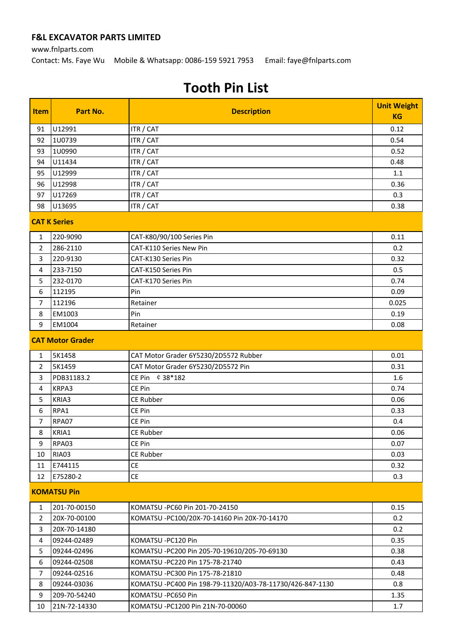#### www.fnlparts.com Contact: Ms. Faye Wu Mobile & Whatsapp: 0086-159 5921 7953 Email: faye@fnlparts.com

| Item           | Part No.                | <b>Description</b>                                        | <b>Unit Weight</b><br><b>KG</b> |  |
|----------------|-------------------------|-----------------------------------------------------------|---------------------------------|--|
| 91             | U12991                  | ITR / CAT                                                 | 0.12                            |  |
| 92             | 1U0739                  | ITR / CAT                                                 | 0.54                            |  |
| 93             | 1U0990                  | ITR / CAT                                                 | 0.52                            |  |
| 94             | U11434                  | ITR / CAT                                                 | 0.48                            |  |
| 95             | U12999                  | ITR / CAT                                                 | 1.1                             |  |
| 96             | U12998                  | ITR / CAT                                                 | 0.36                            |  |
| 97             | U17269                  | ITR / CAT                                                 | 0.3                             |  |
| 98             | U13695                  | ITR / CAT                                                 | 0.38                            |  |
|                | <b>CAT K Series</b>     |                                                           |                                 |  |
| 1              | 220-9090                | CAT-K80/90/100 Series Pin                                 | 0.11                            |  |
| $\overline{2}$ | 286-2110                | <b>CAT-K110 Series New Pin</b>                            | 0.2                             |  |
| 3              | 220-9130                | CAT-K130 Series Pin                                       | 0.32                            |  |
| 4              | 233-7150                | <b>CAT-K150 Series Pin</b>                                | 0.5                             |  |
| 5              | 232-0170                | CAT-K170 Series Pin                                       | 0.74                            |  |
| 6              | 112195                  | Pin                                                       | 0.09                            |  |
| $\overline{7}$ | 112196                  | Retainer                                                  | 0.025                           |  |
| 8              | EM1003                  | Pin                                                       | 0.19                            |  |
| 9              | EM1004                  | Retainer                                                  | 0.08                            |  |
|                | <b>CAT Motor Grader</b> |                                                           |                                 |  |
| 1              | 5K1458                  | CAT Motor Grader 6Y5230/2D5572 Rubber                     | 0.01                            |  |
| $\overline{2}$ | 5K1459                  | CAT Motor Grader 6Y5230/2D5572 Pin                        | 0.31                            |  |
| 3              | PDB31183.2              | CE Pin $$38*182$                                          | 1.6                             |  |
| 4              | KRPA3                   | CE Pin                                                    | 0.74                            |  |
| 5              | KRIA3                   | <b>CE Rubber</b>                                          | 0.06                            |  |
| 6              | RPA1                    | CE Pin                                                    | 0.33                            |  |
| 7              | RPA07                   | CE Pin                                                    | 0.4                             |  |
| 8              | KRIA1                   | <b>CE Rubber</b>                                          | 0.06                            |  |
| 9              | RPA03                   | CE Pin                                                    | 0.07                            |  |
| 10             | RIA03                   | <b>CE Rubber</b>                                          | 0.03                            |  |
| 11             | E744115                 | <b>CE</b>                                                 | 0.32                            |  |
| 12             | E75280-2                | <b>CE</b>                                                 | 0.3                             |  |
|                | <b>KOMATSU Pin</b>      |                                                           |                                 |  |
| 1              | 201-70-00150            | KOMATSU - PC60 Pin 201-70-24150                           | 0.15                            |  |
| $\overline{2}$ | 20X-70-00100            | KOMATSU -PC100/20X-70-14160 Pin 20X-70-14170              | 0.2                             |  |
| 3              | 20X-70-14180            |                                                           | 0.2                             |  |
| 4              | 09244-02489             | KOMATSU - PC120 Pin                                       | 0.35                            |  |
| 5              | 09244-02496             | KOMATSU -PC200 Pin 205-70-19610/205-70-69130              | 0.38                            |  |
| 6              | 09244-02508             | KOMATSU - PC220 Pin 175-78-21740                          | 0.43                            |  |
| $\overline{7}$ | 09244-02516             | KOMATSU - PC300 Pin 175-78-21810                          | 0.48                            |  |
| 8              | 09244-03036             | KOMATSU -PC400 Pin 198-79-11320/A03-78-11730/426-847-1130 | 0.8                             |  |
| 9              | 209-70-54240            | KOMATSU -PC650 Pin                                        | 1.35                            |  |
| 10             | 21N-72-14330            | KOMATSU - PC1200 Pin 21N-70-00060                         | 1.7                             |  |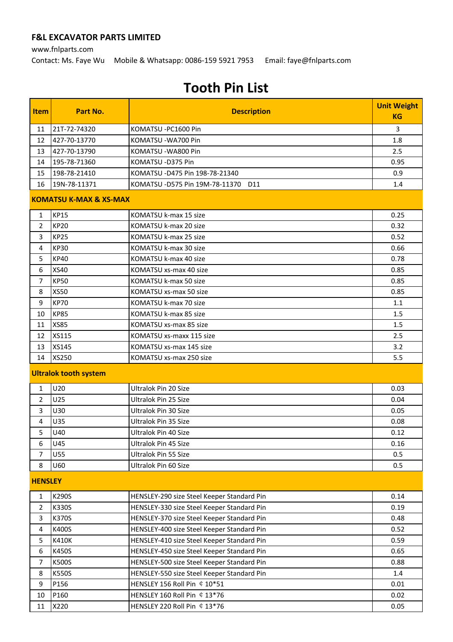www.fnlparts.com

Contact: Ms. Faye Wu Mobile & Whatsapp: 0086-159 5921 7953 Email: faye@fnlparts.com

| <b>Item</b>    | Part No.                          | <b>Description</b>                         | <b>Unit Weight</b><br><b>KG</b> |
|----------------|-----------------------------------|--------------------------------------------|---------------------------------|
| 11             | 21T-72-74320                      | KOMATSU -PC1600 Pin                        | 3                               |
| 12             | 427-70-13770                      | KOMATSU - WA700 Pin                        | 1.8                             |
| 13             | 427-70-13790                      | KOMATSU - WA800 Pin                        | 2.5                             |
| 14             | 195-78-71360                      | KOMATSU -D375 Pin                          | 0.95                            |
| 15             | 198-78-21410                      | KOMATSU - D475 Pin 198-78-21340            | 0.9                             |
| 16             | 19N-78-11371                      | KOMATSU - D575 Pin 19M-78-11370 D11        | 1.4                             |
|                | <b>KOMATSU K-MAX &amp; XS-MAX</b> |                                            |                                 |
| 1              | <b>KP15</b>                       | KOMATSU k-max 15 size                      | 0.25                            |
| $\overline{2}$ | <b>KP20</b>                       | KOMATSU k-max 20 size                      | 0.32                            |
| 3              | <b>KP25</b>                       | KOMATSU k-max 25 size                      | 0.52                            |
| 4              | <b>KP30</b>                       | KOMATSU k-max 30 size                      | 0.66                            |
| 5              | <b>KP40</b>                       | KOMATSU k-max 40 size                      | 0.78                            |
| 6              | <b>XS40</b>                       | KOMATSU xs-max 40 size                     | 0.85                            |
| 7              | <b>KP50</b>                       | KOMATSU k-max 50 size                      | 0.85                            |
| 8              | <b>XS50</b>                       | KOMATSU xs-max 50 size                     | 0.85                            |
| 9              | <b>KP70</b>                       | KOMATSU k-max 70 size                      | 1.1                             |
| 10             | <b>KP85</b>                       | KOMATSU k-max 85 size                      | 1.5                             |
| 11             | <b>XS85</b>                       | KOMATSU xs-max 85 size                     | 1.5                             |
| 12             | <b>XS115</b>                      | KOMATSU xs-maxx 115 size                   | 2.5                             |
| 13             | XS145                             | KOMATSU xs-max 145 size                    | 3.2                             |
| 14             | XS250                             | KOMATSU xs-max 250 size                    | 5.5                             |
|                | <b>Ultralok tooth system</b>      |                                            |                                 |
| 1              | U20                               | Ultralok Pin 20 Size                       | 0.03                            |
| $\overline{2}$ | U25                               | Ultralok Pin 25 Size                       | 0.04                            |
| 3              | U30                               | Ultralok Pin 30 Size                       | 0.05                            |
| 4              | U35                               | Ultralok Pin 35 Size                       | 0.08                            |
| 5              | U40                               | Ultralok Pin 40 Size                       | 0.12                            |
| 6              | U45                               | Ultralok Pin 45 Size                       | 0.16                            |
| 7              | U55                               | <b>Ultralok Pin 55 Size</b>                | 0.5                             |
| 8              | U60                               | Ultralok Pin 60 Size                       | 0.5                             |
| <b>HENSLEY</b> |                                   |                                            |                                 |
| 1              | K290S                             | HENSLEY-290 size Steel Keeper Standard Pin | 0.14                            |
| 2              | K330S                             | HENSLEY-330 size Steel Keeper Standard Pin | 0.19                            |
| 3              | K370S                             | HENSLEY-370 size Steel Keeper Standard Pin | 0.48                            |
| 4              | K400S                             | HENSLEY-400 size Steel Keeper Standard Pin | 0.52                            |
| 5              | K410K                             | HENSLEY-410 size Steel Keeper Standard Pin | 0.59                            |
| 6              | K450S                             | HENSLEY-450 size Steel Keeper Standard Pin | 0.65                            |
| 7              | K500S                             | HENSLEY-500 size Steel Keeper Standard Pin | 0.88                            |
| 8              | K550S                             | HENSLEY-550 size Steel Keeper Standard Pin | 1.4                             |
| 9              | P156                              | HENSLEY 156 Roll Pin ¢ 10*51               | 0.01                            |
| 10             | P160                              | HENSLEY 160 Roll Pin ¢ 13*76               | 0.02                            |
| 11             | X220                              | HENSLEY 220 Roll Pin ¢ 13*76               | 0.05                            |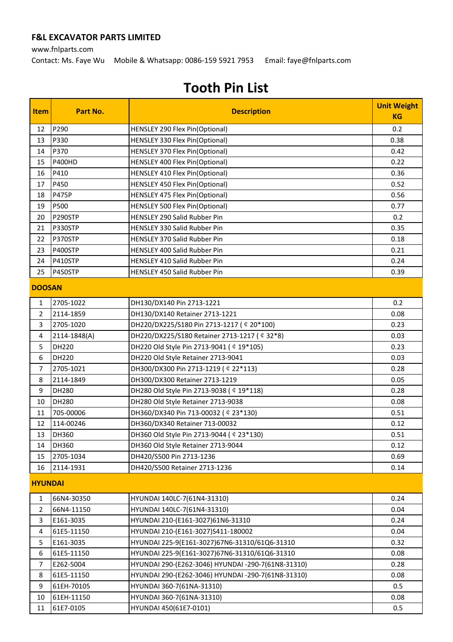www.fnlparts.com

Contact: Ms. Faye Wu Mobile & Whatsapp: 0086-159 5921 7953 Email: faye@fnlparts.com

| Item                | Part No.              | <b>Description</b>                                                          | <b>Unit Weight</b> |
|---------------------|-----------------------|-----------------------------------------------------------------------------|--------------------|
|                     |                       |                                                                             | <b>KG</b>          |
| 12                  | P290                  | HENSLEY 290 Flex Pin(Optional)                                              | 0.2                |
| 13                  | P330                  | HENSLEY 330 Flex Pin(Optional)                                              | 0.38               |
| 14                  | P370                  | HENSLEY 370 Flex Pin(Optional)                                              | 0.42               |
| 15                  | <b>P400HD</b>         | HENSLEY 400 Flex Pin(Optional)                                              | 0.22               |
| 16                  | P410                  | HENSLEY 410 Flex Pin(Optional)                                              | 0.36               |
| 17                  | P450                  | HENSLEY 450 Flex Pin(Optional)                                              | 0.52               |
| 18                  | <b>P475P</b>          | HENSLEY 475 Flex Pin(Optional)                                              | 0.56               |
| 19                  | P500                  | <b>HENSLEY 500 Flex Pin(Optional)</b>                                       | 0.77               |
| 20                  | P290STP               | HENSLEY 290 Salid Rubber Pin                                                | 0.2                |
| 21                  | P330STP               | <b>HENSLEY 330 Salid Rubber Pin</b>                                         | 0.35               |
| 22                  | P370STP               | HENSLEY 370 Salid Rubber Pin                                                | 0.18               |
| 23                  | P400STP               | HENSLEY 400 Salid Rubber Pin                                                | 0.21               |
| 24                  | P410STP               | HENSLEY 410 Salid Rubber Pin                                                | 0.24               |
| 25                  | P450STP               | HENSLEY 450 Salid Rubber Pin                                                | 0.39               |
| <b>DOOSAN</b>       |                       |                                                                             |                    |
| 1                   | 2705-1022             |                                                                             | 0.2                |
| $\overline{2}$      | 2114-1859             | DH130/DX140 Pin 2713-1221<br>DH130/DX140 Retainer 2713-1221                 | 0.08               |
|                     | 2705-1020             |                                                                             |                    |
| 3                   |                       | DH220/DX225/S180 Pin 2713-1217 ( $$20*100$ )                                | 0.23               |
| $\overline{4}$<br>5 | 2114-1848(A)<br>DH220 | DH220/DX225/S180 Retainer 2713-1217 ( $$32*8$ )                             | 0.03               |
| 6                   | <b>DH220</b>          | DH220 Old Style Pin 2713-9041 ( ¢ 19*105)                                   | 0.23<br>0.03       |
| $\overline{7}$      | 2705-1021             | DH220 Old Style Retainer 2713-9041<br>DH300/DX300 Pin 2713-1219 ( ¢ 22*113) | 0.28               |
| 8                   | 2114-1849             | DH300/DX300 Retainer 2713-1219                                              | 0.05               |
| 9                   | DH280                 | DH280 Old Style Pin 2713-9038 ( ¢ 19*118)                                   | 0.28               |
| 10                  | DH280                 | DH280 Old Style Retainer 2713-9038                                          | 0.08               |
| 11                  | 705-00006             | DH360/DX340 Pin 713-00032 ( $$23*130$ )                                     | 0.51               |
| 12                  | 114-00246             | DH360/DX340 Retainer 713-00032                                              | 0.12               |
| 13                  | DH360                 | DH360 Old Style Pin 2713-9044 ( $$23*130$ )                                 | 0.51               |
| 14                  | DH360                 | DH360 Old Style Retainer 2713-9044                                          | 0.12               |
| 15                  | 2705-1034             | DH420/S500 Pin 2713-1236                                                    | 0.69               |
| 16                  | 2114-1931             | DH420/S500 Retainer 2713-1236                                               | 0.14               |
|                     |                       |                                                                             |                    |
| <b>HYUNDAI</b>      |                       |                                                                             |                    |
| 1                   | 66N4-30350            | HYUNDAI 140LC-7(61N4-31310)                                                 | 0.24               |
| $\overline{2}$      | 66N4-11150            | HYUNDAI 140LC-7(61N4-31310)                                                 | 0.04               |
| 3                   | E161-3035             | HYUNDAI 210-(E161-3027)61N6-31310                                           | 0.24               |
| 4                   | 61E5-11150            | HYUNDAI 210-(E161-3027)S411-180002                                          | 0.04               |
| 5                   | E161-3035             | HYUNDAI 225-9(E161-3027)67N6-31310/61Q6-31310                               | 0.32               |
| 6                   | 61E5-11150            | HYUNDAI 225-9(E161-3027)67N6-31310/61Q6-31310                               | 0.08               |
| $\overline{7}$      | E262-5004             | HYUNDAI 290-(E262-3046) HYUNDAI -290-7(61N8-31310)                          | 0.28               |
| 8                   | 61E5-11150            | HYUNDAI 290-(E262-3046) HYUNDAI -290-7(61N8-31310)                          | 0.08               |
| 9                   | 61EH-70105            | HYUNDAI 360-7(61NA-31310)                                                   | 0.5                |
| 10                  | 61EH-11150            | HYUNDAI 360-7(61NA-31310)                                                   | 0.08               |
| 11                  | 61E7-0105             | HYUNDAI 450(61E7-0101)                                                      | 0.5                |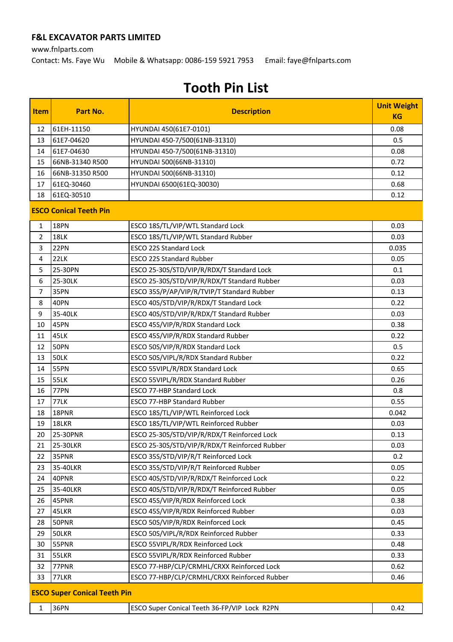www.fnlparts.com

Contact: Ms. Faye Wu Mobile & Whatsapp: 0086-159 5921 7953 Email: faye@fnlparts.com

| <b>Item</b>    | Part No.                            | <b>Description</b>                                                             | <b>Unit Weight</b><br><b>KG</b> |
|----------------|-------------------------------------|--------------------------------------------------------------------------------|---------------------------------|
| 12             | 61EH-11150                          | HYUNDAI 450(61E7-0101)                                                         | 0.08                            |
| 13             | 61E7-04620                          | HYUNDAI 450-7/500(61NB-31310)                                                  | 0.5                             |
| 14             | 61E7-04630                          | HYUNDAI 450-7/500(61NB-31310)                                                  | 0.08                            |
| 15             | 66NB-31340 R500                     | HYUNDAI 500(66NB-31310)                                                        | 0.72                            |
| 16             | 66NB-31350 R500                     | HYUNDAI 500(66NB-31310)                                                        | 0.12                            |
| 17             | 61EQ-30460                          | HYUNDAI 6500(61EQ-30030)                                                       | 0.68                            |
| 18             | 61EQ-30510                          |                                                                                | 0.12                            |
|                | <b>ESCO Conical Teeth Pin</b>       |                                                                                |                                 |
| 1              | <b>18PN</b>                         | ESCO 18S/TL/VIP/WTL Standard Lock                                              | 0.03                            |
| 2              | 18LK                                | ESCO 18S/TL/VIP/WTL Standard Rubber                                            | 0.03                            |
| 3              | 22PN                                | <b>ESCO 22S Standard Lock</b>                                                  | 0.035                           |
| 4              | 22LK                                | <b>ESCO 22S Standard Rubber</b>                                                | 0.05                            |
| 5              | 25-30PN                             | ESCO 25-30S/STD/VIP/R/RDX/T Standard Lock                                      | 0.1                             |
| 6              | 25-30LK                             | ESCO 25-30S/STD/VIP/R/RDX/T Standard Rubber                                    | 0.03                            |
| $\overline{7}$ | 35PN                                | ESCO 35S/P/AP/VIP/R/TVIP/T Standard Rubber                                     | 0.13                            |
| 8              | 40PN                                | ESCO 40S/STD/VIP/R/RDX/T Standard Lock                                         | 0.22                            |
| 9              | 35-40LK                             | ESCO 40S/STD/VIP/R/RDX/T Standard Rubber                                       | 0.03                            |
| 10             | 45PN                                | ESCO 45S/VIP/R/RDX Standard Lock                                               | 0.38                            |
| 11             | 45LK                                | ESCO 45S/VIP/R/RDX Standard Rubber                                             | 0.22                            |
| 12             | <b>50PN</b>                         | ESCO 50S/VIP/R/RDX Standard Lock                                               | 0.5                             |
| 13             | <b>50LK</b>                         | ESCO 50S/VIPL/R/RDX Standard Rubber                                            | 0.22                            |
| 14             | 55PN                                | ESCO 55VIPL/R/RDX Standard Lock                                                | 0.65                            |
| 15             | <b>55LK</b>                         | ESCO 55VIPL/R/RDX Standard Rubber                                              | 0.26                            |
| 16             | 77PN                                | <b>ESCO 77-HBP Standard Lock</b>                                               | 0.8                             |
| 17             | <b>77LK</b>                         | <b>ESCO 77-HBP Standard Rubber</b>                                             | 0.55                            |
| 18             | 18PNR                               | ESCO 18S/TL/VIP/WTL Reinforced Lock                                            | 0.042                           |
| 19             | 18LKR                               | ESCO 18S/TL/VIP/WTL Reinforced Rubber                                          | 0.03                            |
| 20             | 25-30PNR                            | ESCO 25-30S/STD/VIP/R/RDX/T Reinforced Lock                                    | 0.13                            |
| 21             | 25-30LKR                            | ESCO 25-30S/STD/VIP/R/RDX/T Reinforced Rubber                                  | 0.03                            |
| 22<br>23       | 35PNR<br>35-40LKR                   | ESCO 35S/STD/VIP/R/T Reinforced Lock<br>ESCO 35S/STD/VIP/R/T Reinforced Rubber | 0.2<br>0.05                     |
| 24             | 40PNR                               | ESCO 40S/STD/VIP/R/RDX/T Reinforced Lock                                       | 0.22                            |
| 25             | 35-40LKR                            | ESCO 40S/STD/VIP/R/RDX/T Reinforced Rubber                                     | 0.05                            |
| 26             | 45PNR                               | ESCO 45S/VIP/R/RDX Reinforced Lock                                             | 0.38                            |
| 27             | 45LKR                               | ESCO 45S/VIP/R/RDX Reinforced Rubber                                           | 0.03                            |
| 28             | 50PNR                               | ESCO 50S/VIP/R/RDX Reinforced Lock                                             | 0.45                            |
| 29             | 50LKR                               | ESCO 50S/VIPL/R/RDX Reinforced Rubber                                          | 0.33                            |
| 30             | 55PNR                               | ESCO 55VIPL/R/RDX Reinforced Lock                                              | 0.48                            |
| 31             | 55LKR                               | ESCO 55VIPL/R/RDX Reinforced Rubber                                            | 0.33                            |
| 32             | 77PNR                               | ESCO 77-HBP/CLP/CRMHL/CRXX Reinforced Lock                                     | 0.62                            |
| 33             | 77LKR                               | ESCO 77-HBP/CLP/CRMHL/CRXX Reinforced Rubber                                   | 0.46                            |
|                | <b>ESCO Super Conical Teeth Pin</b> |                                                                                |                                 |
|                | 36PN                                |                                                                                |                                 |
| 1              |                                     | ESCO Super Conical Teeth 36-FP/VIP Lock R2PN                                   | 0.42                            |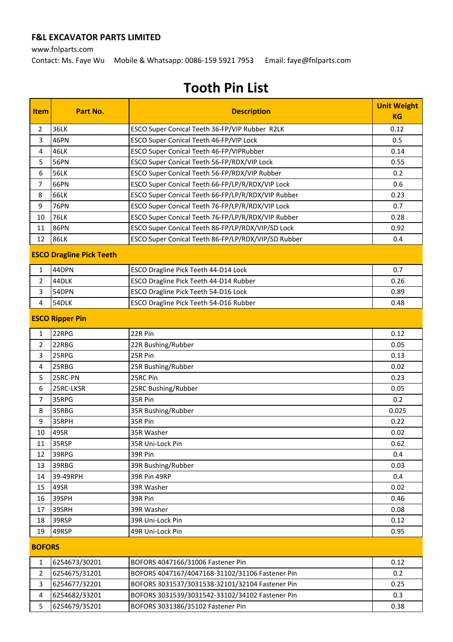www.fnlparts.com

Contact: Ms. Faye Wu Mobile & Whatsapp: 0086-159 5921 7953 Email: faye@fnlparts.com

| <b>Item</b>    | Part No.                        | <b>Description</b>                                  | <b>Unit Weight</b> |
|----------------|---------------------------------|-----------------------------------------------------|--------------------|
|                |                                 |                                                     | <b>KG</b>          |
| 2              | 36LK                            | ESCO Super Conical Teeth 36-FP/VIP Rubber R2LK      | 0.12               |
| 3              | 46PN                            | ESCO Super Conical Teeth 46-FP/VIP Lock             | 0.5                |
| 4              | 46LK                            | ESCO Super Conical Teeth 46-FP/VIPRubber            | 0.14               |
| 5              | <b>56PN</b>                     | ESCO Super Conical Teeth 56-FP/RDX/VIP Lock         | 0.55               |
| 6              | <b>56LK</b>                     | ESCO Super Conical Teeth 56-FP/RDX/VIP Rubber       | 0.2                |
| $\overline{7}$ | 66PN                            | ESCO Super Conical Teeth 66-FP/LP/R/RDX/VIP Lock    | 0.6                |
| 8              | <b>66LK</b>                     | ESCO Super Conical Teeth 66-FP/LP/R/RDX/VIP Rubber  | 0.23               |
| 9              | <b>76PN</b>                     | ESCO Super Conical Teeth 76-FP/LP/R/RDX/VIP Lock    | 0.7                |
| 10             | <b>76LK</b>                     | ESCO Super Conical Teeth 76-FP/LP/R/RDX/VIP Rubber  | 0.28               |
| 11             | <b>86PN</b>                     | ESCO Super Conical Teeth 86-FP/LP/RDX/VIP/SD Lock   | 0.92               |
| 12             | <b>86LK</b>                     | ESCO Super Conical Teeth 86-FP/LP/RDX/VIP/SD Rubber | 0.4                |
|                | <b>ESCO Dragline Pick Teeth</b> |                                                     |                    |
| 1              | 44DPN                           | ESCO Dragline Pick Teeth 44-D14 Lock                | 0.7                |
| $\overline{2}$ | 44DLK                           | ESCO Dragline Pick Teeth 44-D14 Rubber              | 0.26               |
| 3              | 54DPN                           | ESCO Dragline Pick Teeth 54-D16 Lock                | 0.89               |
| 4              | 54DLK                           | ESCO Dragline Pick Teeth 54-D16 Rubber              | 0.48               |
|                | <b>ESCO Ripper Pin</b>          |                                                     |                    |
| 1              | 22RPG                           | 22R Pin                                             | 0.12               |
| $\overline{2}$ | 22RBG                           | 22R Bushing/Rubber                                  | 0.05               |
| 3              | 25RPG                           | 25R Pin                                             | 0.13               |
| 4              | 25RBG                           | 25R Bushing/Rubber                                  | 0.02               |
| 5              | 25RC-PN                         | 25RC Pin                                            | 0.23               |
| 6              | 25RC-LKSR                       | 25RC Bushing/Rubber                                 | 0.05               |
| $\overline{7}$ | 35RPG                           | 35R Pin                                             | 0.2                |
| 8              | 35RBG                           | 35R Bushing/Rubber                                  | 0.025              |
| 9              | 35RPH                           | 35R Pin                                             | 0.22               |
| 10             | 49SR                            | 35R Washer                                          | 0.02               |
| 11             | 35RSP                           | 35R Uni-Lock Pin                                    | 0.62               |
| 12             | 39RPG                           | 39R Pin                                             | 0.4                |
| 13             | 39RBG                           | 39R Bushing/Rubber                                  | 0.03               |
| 14             | 39-49RPH                        | 39R Pin 49RP                                        | 0.4                |
| 15             | 49SR                            | 39R Washer                                          | 0.02               |
| 16             | 39SPH                           | 39R Pin                                             | 0.46               |
| 17             | 39SRH                           | 39R Washer                                          | 0.08               |
| 18             | 39RSP                           | 39R Uni-Lock Pin                                    | 0.12               |
| 19             | 49RSP                           | 49R Uni-Lock Pin                                    | 0.95               |
| <b>BOFORS</b>  |                                 |                                                     |                    |
| 1              | 6254673/30201                   | BOFORS 4047166/31006 Fastener Pin                   | 0.12               |
| $\overline{2}$ | 6254675/31201                   | BOFORS 4047167/4047168-31102/31106 Fastener Pin     | 0.2                |
| 3              | 6254677/32201                   | BOFORS 3031537/3031538-32101/32104 Fastener Pin     | 0.25               |
| 4              | 6254682/33201                   | BOFORS 3031539/3031542-33102/34102 Fastener Pin     | 0.3                |
| 5              | 6254679/35201                   | BOFORS 3031386/35102 Fastener Pin                   | 0.38               |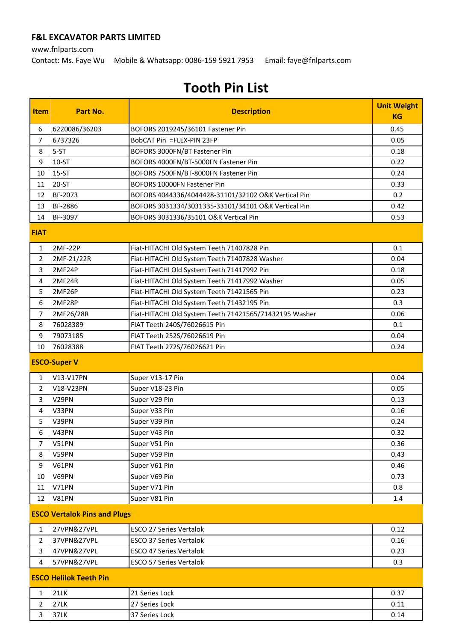www.fnlparts.com

Contact: Ms. Faye Wu Mobile & Whatsapp: 0086-159 5921 7953 Email: faye@fnlparts.com

| <b>Item</b>    | Part No.                            | <b>Description</b>                                     | <b>Unit Weight</b> |
|----------------|-------------------------------------|--------------------------------------------------------|--------------------|
|                |                                     |                                                        | <b>KG</b>          |
| 6              | 6220086/36203                       | BOFORS 2019245/36101 Fastener Pin                      | 0.45               |
| $\overline{7}$ | 6737326                             | BobCAT Pin =FLEX-PIN 23FP                              | 0.05               |
| 8              | $5-ST$                              | BOFORS 3000FN/BT Fastener Pin                          | 0.18               |
| 9              | $10-ST$                             | BOFORS 4000FN/BT-5000FN Fastener Pin                   | 0.22               |
| 10             | $15-ST$                             | BOFORS 7500FN/BT-8000FN Fastener Pin                   | 0.24               |
| 11             | 20-ST                               | BOFORS 10000FN Fastener Pin                            | 0.33               |
| 12             | BF-2073                             | BOFORS 4044336/4044428-31101/32102 O&K Vertical Pin    | 0.2                |
| 13             | BF-2886                             | BOFORS 3031334/3031335-33101/34101 O&K Vertical Pin    | 0.42               |
| 14             | BF-3097                             | BOFORS 3031336/35101 O&K Vertical Pin                  | 0.53               |
| <b>FIAT</b>    |                                     |                                                        |                    |
| 1              | 2MF-22P                             | Fiat-HITACHI Old System Teeth 71407828 Pin             | 0.1                |
| 2              | 2MF-21/22R                          | Fiat-HITACHI Old System Teeth 71407828 Washer          | 0.04               |
| 3              | 2MF24P                              | Fiat-HITACHI Old System Teeth 71417992 Pin             | 0.18               |
| 4              | 2MF24R                              | Fiat-HITACHI Old System Teeth 71417992 Washer          | 0.05               |
| 5              | 2MF26P                              | Fiat-HITACHI Old System Teeth 71421565 Pin             | 0.23               |
| 6              | 2MF28P                              | Fiat-HITACHI Old System Teeth 71432195 Pin             | 0.3                |
| $\overline{7}$ | 2MF26/28R                           | Fiat-HITACHI Old System Teeth 71421565/71432195 Washer | 0.06               |
| 8              | 76028389                            | FIAT Teeth 240S/76026615 Pin                           | 0.1                |
| 9              | 79073185                            | FIAT Teeth 252S/76026619 Pin                           | 0.04               |
| 10             | 76028388                            | FIAT Teeth 272S/76026621 Pin                           | 0.24               |
|                | <b>ESCO-Super V</b>                 |                                                        |                    |
| 1              | V13-V17PN                           | Super V13-17 Pin                                       | 0.04               |
| $\overline{2}$ | V18-V23PN                           | Super V18-23 Pin                                       | 0.05               |
| 3              | V29PN                               | Super V29 Pin                                          | 0.13               |
| 4              | V33PN                               | Super V33 Pin                                          | 0.16               |
| 5              | V39PN                               | Super V39 Pin                                          | 0.24               |
| 6              | V43PN                               | Super V43 Pin                                          | 0.32               |
| 7              | V51PN                               | Super V51 Pin                                          | 0.36               |
| 8              | V59PN                               | Super V59 Pin                                          | 0.43               |
| 9              | V61PN                               | Super V61 Pin                                          | 0.46               |
| 10             | V69PN                               | Super V69 Pin                                          | 0.73               |
| 11             | V71PN                               | Super V71 Pin                                          | 0.8                |
| 12             | V81PN                               | Super V81 Pin                                          | 1.4                |
|                | <b>ESCO Vertalok Pins and Plugs</b> |                                                        |                    |
| 1              | 27VPN&27VPL                         | <b>ESCO 27 Series Vertalok</b>                         | 0.12               |
| $\overline{2}$ | 37VPN&27VPL                         | <b>ESCO 37 Series Vertalok</b>                         | 0.16               |
| 3              | 47VPN&27VPL                         | <b>ESCO 47 Series Vertalok</b>                         | 0.23               |
| 4              | 57VPN&27VPL                         | <b>ESCO 57 Series Vertalok</b>                         | 0.3                |
|                | <b>ESCO Helilok Teeth Pin</b>       |                                                        |                    |
| 1              | <b>21LK</b>                         | 21 Series Lock                                         | 0.37               |
| $\overline{2}$ | <b>27LK</b>                         | 27 Series Lock                                         | 0.11               |
| 3              | 37LK                                | 37 Series Lock                                         | 0.14               |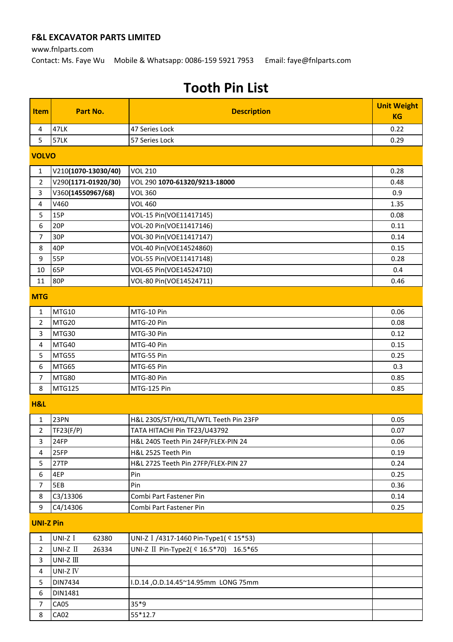www.fnlparts.com Contact: Ms. Faye Wu Mobile & Whatsapp: 0086-159 5921 7953 Email: faye@fnlparts.com

| <b>Item</b>      | Part No.                                    | <b>Description</b>                     | <b>Unit Weight</b> |
|------------------|---------------------------------------------|----------------------------------------|--------------------|
|                  |                                             |                                        | <b>KG</b>          |
| 4                | 47LK                                        | 47 Series Lock                         | 0.22               |
| 5                | <b>57LK</b>                                 | 57 Series Lock                         | 0.29               |
| <b>VOLVO</b>     |                                             |                                        |                    |
| $\mathbf{1}$     | V210(1070-13030/40)                         | <b>VOL 210</b>                         | 0.28               |
| $\overline{2}$   | V290(1171-01920/30)                         | VOL 290 1070-61320/9213-18000          | 0.48               |
| 3                | V360(14550967/68)                           | <b>VOL 360</b>                         | 0.9                |
| 4                | V460                                        | <b>VOL 460</b>                         | 1.35               |
| 5                | 15P                                         | VOL-15 Pin(VOE11417145)                | 0.08               |
| 6                | 20P                                         | VOL-20 Pin(VOE11417146)                | 0.11               |
| $\overline{7}$   | 30P                                         | VOL-30 Pin(VOE11417147)                | 0.14               |
| 8                | 40P                                         | VOL-40 Pin(VOE14524860)                | 0.15               |
| 9                | 55P                                         | VOL-55 Pin(VOE11417148)                | 0.28               |
| 10               | 65P                                         | VOL-65 Pin(VOE14524710)                | 0.4                |
| 11               | 80P                                         | VOL-80 Pin(VOE14524711)                | 0.46               |
| <b>MTG</b>       |                                             |                                        |                    |
| 1                | MTG10                                       | MTG-10 Pin                             | 0.06               |
| $\overline{2}$   | MTG20                                       | MTG-20 Pin                             | 0.08               |
| 3                | MTG30                                       | MTG-30 Pin                             | 0.12               |
| 4                | MTG40                                       | MTG-40 Pin                             | 0.15               |
| 5                | MTG55                                       | MTG-55 Pin                             | 0.25               |
| 6                | MTG65                                       | MTG-65 Pin                             | 0.3                |
| $\overline{7}$   | MTG80                                       | MTG-80 Pin                             | 0.85               |
| 8                | MTG125                                      | MTG-125 Pin                            | 0.85               |
| H&L              |                                             |                                        |                    |
| $\mathbf{1}$     | 23PN                                        | H&L 230S/ST/HXL/TL/WTL Teeth Pin 23FP  | 0.05               |
| 2                | TF23(F/P)                                   | TATA HITACHI Pin TF23/U43792           | 0.07               |
| $\overline{3}$   | 24FP                                        | H&L 240S Teeth Pin 24FP/FLEX-PIN 24    | 0.06               |
| 4                | 25FP                                        | H&L 252S Teeth Pin                     | 0.19               |
| 5                | 27TP                                        | H&L 272S Teeth Pin 27FP/FLEX-PIN 27    | 0.24               |
| 6                | 4EP                                         | Pin                                    | 0.25               |
| $\overline{7}$   | 5EB                                         | Pin                                    | 0.36               |
| 8                | C3/13306                                    | Combi Part Fastener Pin                | 0.14               |
| 9                | C4/14306                                    | Combi Part Fastener Pin                | 0.25               |
| <b>UNI-Z Pin</b> |                                             |                                        |                    |
| $\mathbf{1}$     | UNI-Z I<br>62380                            | UNI-Z I /4317-1460 Pin-Type1( ¢ 15*53) |                    |
| $\overline{2}$   | UNI-Z II<br>26334                           | UNI-Z II Pin-Type2( ¢ 16.5*70) 16.5*65 |                    |
| 3                | UNI-Z $\rm I\hspace{-.1em}I\hspace{-.1em}I$ |                                        |                    |
| 4                | UNI-Z IV                                    |                                        |                    |
| 5                | DIN7434                                     | I.D.14, O.D.14.45~14.95mm LONG 75mm    |                    |
| 6                | DIN1481                                     |                                        |                    |
| 7                | CA05                                        | $35*9$                                 |                    |
| 8                | <b>CA02</b>                                 | 55*12.7                                |                    |
|                  |                                             |                                        |                    |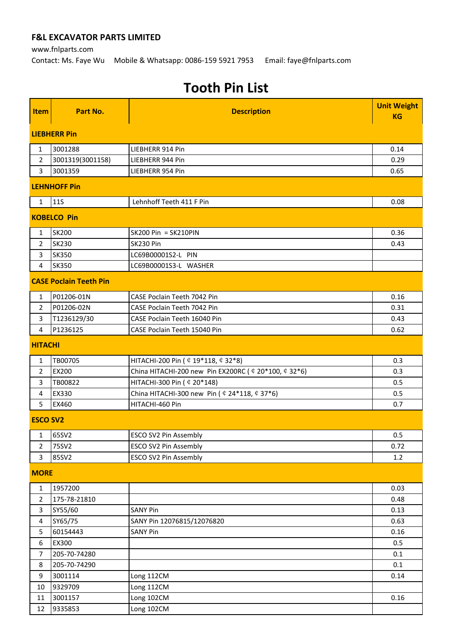www.fnlparts.com

Contact: Ms. Faye Wu Mobile & Whatsapp: 0086-159 5921 7953 Email: faye@fnlparts.com

| Item             | Part No.                      | <b>Description</b>                                                                      | <b>Unit Weight</b><br><b>KG</b> |
|------------------|-------------------------------|-----------------------------------------------------------------------------------------|---------------------------------|
|                  |                               |                                                                                         |                                 |
|                  | <b>LIEBHERR Pin</b>           |                                                                                         |                                 |
| $\mathbf{1}$     | 3001288                       | LIEBHERR 914 Pin                                                                        | 0.14                            |
| $\overline{2}$   | 3001319(3001158)              | LIEBHERR 944 Pin                                                                        | 0.29                            |
| 3                | 3001359                       | LIEBHERR 954 Pin                                                                        | 0.65                            |
|                  | <b>LEHNHOFF Pin</b>           |                                                                                         |                                 |
| 1                | <b>11S</b>                    | Lehnhoff Teeth 411 F Pin                                                                | 0.08                            |
|                  | <b>KOBELCO Pin</b>            |                                                                                         |                                 |
| $\mathbf{1}$     | <b>SK200</b>                  | SK200 Pin = SK210PIN                                                                    | 0.36                            |
| $\overline{2}$   | <b>SK230</b>                  | SK230 Pin                                                                               | 0.43                            |
| 3                | <b>SK350</b>                  | LC69B00001S2-L PIN                                                                      |                                 |
| 4                | <b>SK350</b>                  | LC69B00001S3-L WASHER                                                                   |                                 |
|                  | <b>CASE Poclain Teeth Pin</b> |                                                                                         |                                 |
| $\mathbf{1}$     | P01206-01N                    | CASE Poclain Teeth 7042 Pin                                                             | 0.16                            |
| $\overline{2}$   | P01206-02N                    | <b>CASE Poclain Teeth 7042 Pin</b>                                                      | 0.31                            |
| 3                | T1236129/30                   | CASE Poclain Teeth 16040 Pin                                                            | 0.43                            |
| 4                | P1236125                      | CASE Poclain Teeth 15040 Pin                                                            | 0.62                            |
| <b>HITACHI</b>   |                               |                                                                                         |                                 |
| 1                | TB00705                       | HITACHI-200 Pin ( $$19*118$ , $$32*8$ )                                                 | 0.3                             |
| 2                | EX200                         | China HITACHI-200 new Pin EX200RC ( $$20*100$ , $$32*6$ )                               | 0.3                             |
| 3                | TB00822                       | HITACHI-300 Pin ( $$20*148$ )                                                           | 0.5                             |
| 4                | EX330                         | China HITACHI-300 new Pin ( $\text{\textsterling}$ 24*118, $\text{\textsterling}$ 37*6) | 0.5                             |
| 5                | EX460                         | HITACHI-460 Pin                                                                         | 0.7                             |
| <b>ESCO SV2</b>  |                               |                                                                                         |                                 |
| 1                | 65SV2                         | <b>ESCO SV2 Pin Assembly</b>                                                            | 0.5                             |
| $\overline{2}$   | 75SV2                         | <b>ESCO SV2 Pin Assembly</b>                                                            | 0.72                            |
| 3                | 85SV2                         | <b>ESCO SV2 Pin Assembly</b>                                                            | 1.2                             |
| <b>MORE</b>      |                               |                                                                                         |                                 |
| $\mathbf{1}$     | 1957200                       |                                                                                         | 0.03                            |
| $\overline{2}$   | 175-78-21810                  |                                                                                         | 0.48                            |
| 3                | SY55/60                       | <b>SANY Pin</b>                                                                         | 0.13                            |
| 4                | SY65/75                       | SANY Pin 12076815/12076820                                                              | 0.63                            |
| 5                | 60154443                      | <b>SANY Pin</b>                                                                         | 0.16                            |
| $\boldsymbol{6}$ | EX300                         |                                                                                         | 0.5                             |
| 7                | 205-70-74280                  |                                                                                         | 0.1                             |
| 8                | 205-70-74290                  |                                                                                         | 0.1                             |
| 9                | 3001114                       | Long 112CM                                                                              | 0.14                            |
| 10               | 9329709                       | Long 112CM                                                                              |                                 |
| 11               | 3001157                       | Long 102CM                                                                              | 0.16                            |
| 12               | 9335853                       | Long 102CM                                                                              |                                 |